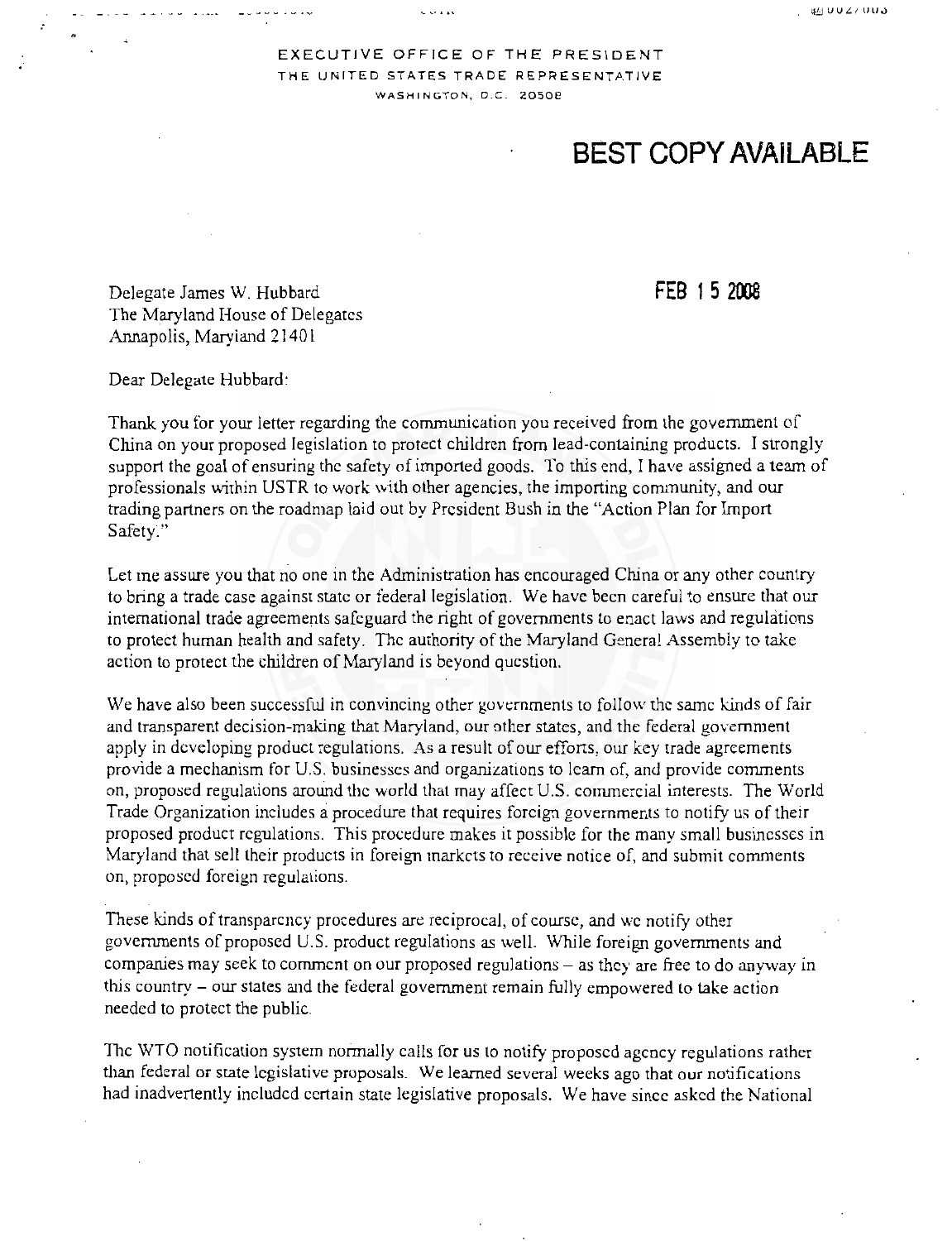i.g,\_j **UUL:f lJU.)** 

## EXECUTIVE OFFICE OF THE PRESIDENT THE UNITED STATES TRADE REPRESENTATIVE **WASHINGTON, D.C. 2osoe**

 $\sim$   $\sim$   $\sim$   $\sim$ 

## **BEST COPY AVAILABLE**

Delegate James W. Hubbard The Maryland House of Delegates Annapolis, Maryiand 21401

**FEB 1 5 2008** 

Dear Delegate Hubbard:

Thank you for your letter regarding the communication you received from the government of China on your proposed legislation to protect children from lead-containing products. I strongly support the goal of ensuring the safety of imported goods. To this end, I have assigned a team of professionals within USTR to work with other agencies, the importing community, and our trading partners on the roadmap laid out by President Bush in the "Action Plan for Import Safety."

Let me assure you that no one in the Administration has encouraged China or any other country to bring a trade case against state or federal legislation. We have been careful to ensure that our international trade agreements safeguard the right of governments lo enact laws and regulations to protect human health and safety. The authority of the Maryland General Assembly to take action to protect the children of Maryland is beyond question.

We have also been successful in convincing other governments to follow the same kinds of fair and transparent decision-making that Maryland, our other states, and the federal government apply in developing product regulations. As a result of our efforts, our key trade agreements provide a mechanism for U.S. businesses and organizations to learn of, and provide comments on, proposed regulations around the world that may affect U.S. commercial interests. The World Trade Organization includes a procedure that requires foreign governments to notify us of their proposed product regulations. This procedure makes it possible for the many small businesses in Maryland that sell their products in foreign markets to receive notice of, and submit comments on, proposed foreign regulations.

These kinds of transparency procedures are reciprocal, of course, and we notify other governments of proposed U.S. product regulations a5 well. While foreign governments and companies may seek to comment on our proposed regulations  $-$  as they are free to do anyway in this country - our states and the federal government remain fully empowered to take action needed to protect the public.

The WTO notification system normally calls for us lo notify proposed agency regulations rather than federal or state legislative proposals. We learned several weeks ago that our notifications had inadvertently included certain state legislative proposals. We have since asked the National